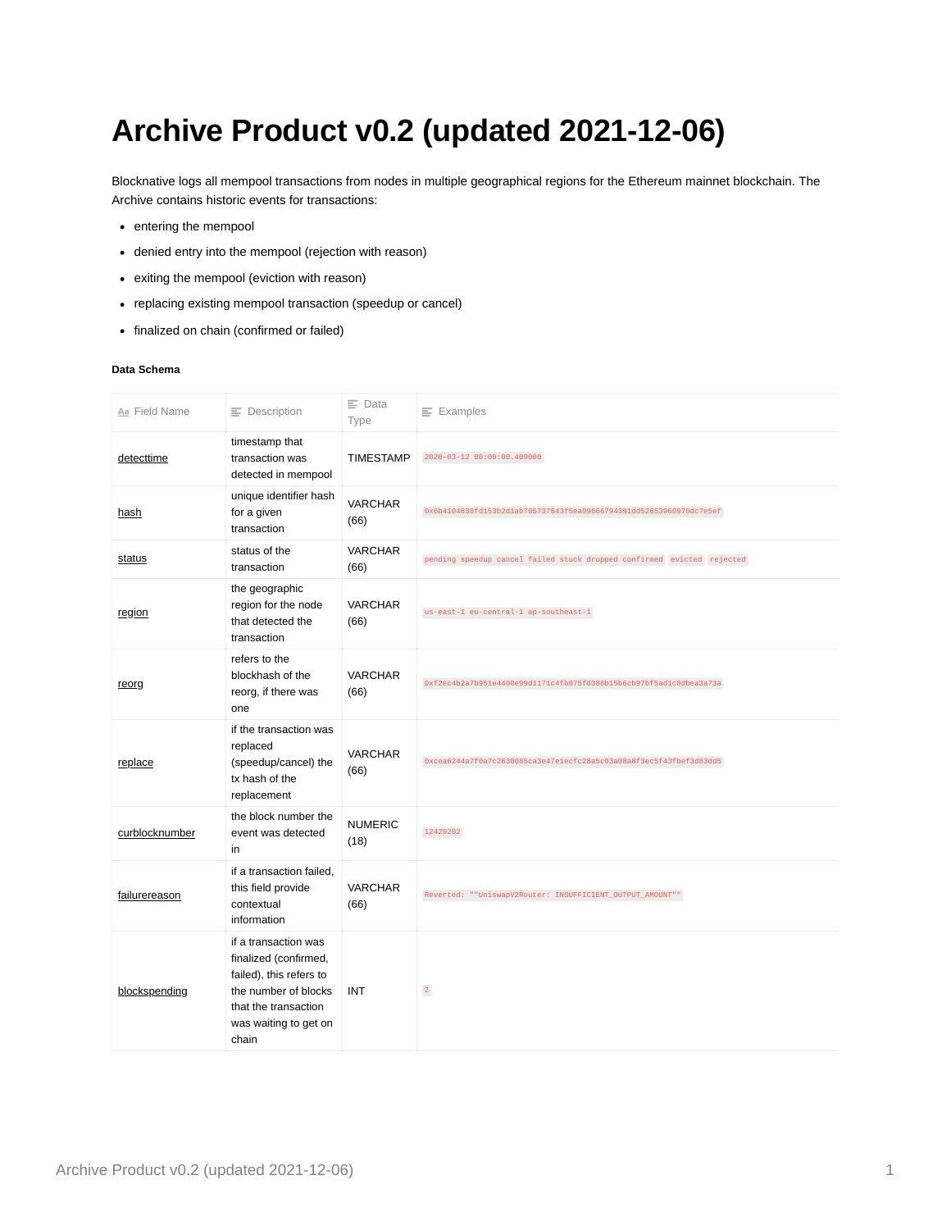## **Archive Product v0.2 (updated 2021-12-06)**

Blocknative logs all mempool transactions from nodes in multiple geographical regions for the Ethereum mainnet blockchain. The Archive contains historic events for transactions:

- entering the mempool
- denied entry into the mempool (rejection with reason)
- exiting the mempool (eviction with reason)
- replacing existing mempool transaction (speedup or cancel)
- finalized on chain (confirmed or failed)

## **Data Schema**

| Aa Field Name  | $\equiv$ Description                                                                                                                                       | $\equiv$ Data<br>Type  | $\equiv$ Examples                                                      |
|----------------|------------------------------------------------------------------------------------------------------------------------------------------------------------|------------------------|------------------------------------------------------------------------|
| detecttime     | timestamp that<br>transaction was<br>detected in mempool                                                                                                   | <b>TIMESTAMP</b>       | 2020-03-12 00:00:00.409000                                             |
| <u>hash</u>    | unique identifier hash<br>for a given<br>transaction                                                                                                       | <b>VARCHAR</b><br>(66) | 0x6b4104838fd153b2d1ab705737843f5ea99666794391dd52653960970dc7e5ef     |
| status         | status of the<br>transaction                                                                                                                               | <b>VARCHAR</b><br>(66) | pending speedup cancel failed stuck dropped confirmed evicted rejected |
| region         | the geographic<br>region for the node<br>that detected the<br>transaction                                                                                  | <b>VARCHAR</b><br>(66) | us-east-1 eu-central-1 ap-southeast-1                                  |
| reorg          | refers to the<br>blockhash of the<br>reorg, if there was<br>one                                                                                            | <b>VARCHAR</b><br>(66) | 0xf2ec4b2a7b951e4400e99d1171c4fb875fd388b15b6cb97bf5ad1c8dbea3a73a     |
| replace        | if the transaction was<br>replaced<br>(speedup/cancel) the<br>tx hash of the<br>replacement                                                                | <b>VARCHAR</b><br>(66) | 0xcea6244a7f0a7c2630085ca3e47e1ecfc28a5c03a08a8f3ec5f43fbef3d83dd5     |
| curblocknumber | the block number the<br>event was detected<br>in                                                                                                           | <b>NUMERIC</b><br>(18) | 12429202                                                               |
| failurereason  | if a transaction failed,<br>this field provide<br>contextual<br>information                                                                                | <b>VARCHAR</b><br>(66) | Reverted: ""UniswapV2Router: INSUFFICIENT_OUTPUT_AMOUNT""              |
| blockspending  | if a transaction was<br>finalized (confirmed,<br>failed), this refers to<br>the number of blocks<br>that the transaction<br>was waiting to get on<br>chain | <b>INT</b>             | $\overline{2}$                                                         |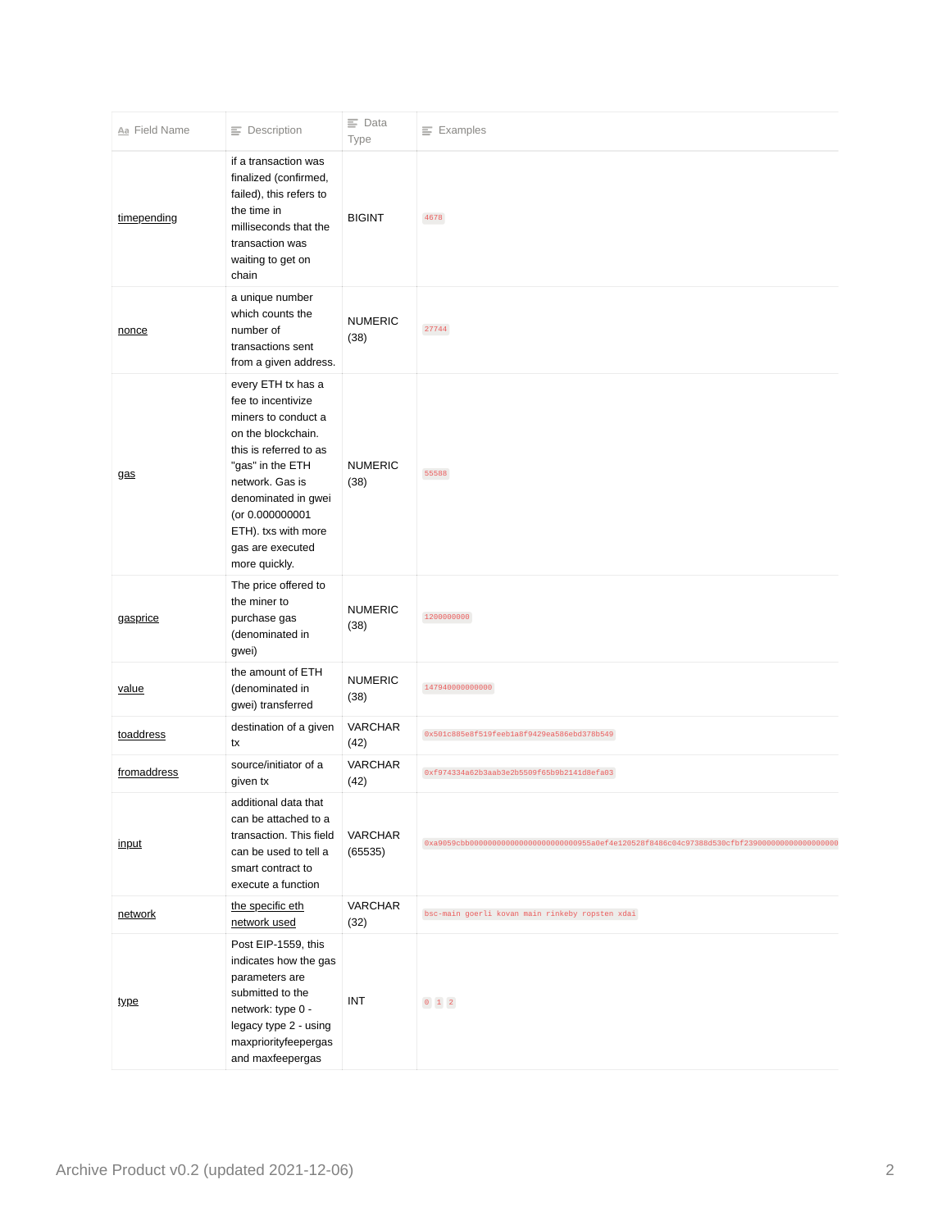| Aa Field Name | $\equiv$ Description                                                                                                                                                                                                                                         | $\equiv$ Data<br>Type     | $\equiv$ Examples                                                                                    |
|---------------|--------------------------------------------------------------------------------------------------------------------------------------------------------------------------------------------------------------------------------------------------------------|---------------------------|------------------------------------------------------------------------------------------------------|
| timepending   | if a transaction was<br>finalized (confirmed,<br>failed), this refers to<br>the time in<br>milliseconds that the<br>transaction was<br>waiting to get on<br>chain                                                                                            | <b>BIGINT</b>             | 4678                                                                                                 |
| nonce         | a unique number<br>which counts the<br>number of<br>transactions sent<br>from a given address.                                                                                                                                                               | <b>NUMERIC</b><br>(38)    | 27744                                                                                                |
| <u>gas</u>    | every ETH tx has a<br>fee to incentivize<br>miners to conduct a<br>on the blockchain.<br>this is referred to as<br>"gas" in the ETH<br>network. Gas is<br>denominated in gwei<br>(or 0.000000001<br>ETH). txs with more<br>gas are executed<br>more quickly. | <b>NUMERIC</b><br>(38)    | 55588                                                                                                |
| gasprice      | The price offered to<br>the miner to<br>purchase gas<br>(denominated in<br>gwei)                                                                                                                                                                             | <b>NUMERIC</b><br>(38)    | 1200000000                                                                                           |
| value         | the amount of ETH<br>(denominated in<br>gwei) transferred                                                                                                                                                                                                    | <b>NUMERIC</b><br>(38)    | 147940000000000                                                                                      |
| toaddress     | destination of a given<br>tx                                                                                                                                                                                                                                 | <b>VARCHAR</b><br>(42)    | 0x501c885e8f519feeb1a8f9429ea586ebd378b549                                                           |
| fromaddress   | source/initiator of a<br>given tx                                                                                                                                                                                                                            | <b>VARCHAR</b><br>(42)    | 0xf974334a62b3aab3e2b5509f65b9b2141d8efa03                                                           |
| input         | additional data that<br>can be attached to a<br>transaction. This field<br>can be used to tell a<br>smart contract to<br>execute a function                                                                                                                  | <b>VARCHAR</b><br>(65535) | 0xa9059cbb000000000000000000000000000055a0ef4e120528f8486c04c97388d530cfbf23900000000000000000000000 |
| network       | the specific eth<br>network used                                                                                                                                                                                                                             | <b>VARCHAR</b><br>(32)    | bsc-main goerli kovan main rinkeby ropsten xdai                                                      |
| type          | Post EIP-1559, this<br>indicates how the gas<br>parameters are<br>submitted to the<br>network: type 0 -<br>legacy type 2 - using<br>maxpriorityfeepergas<br>and maxfeepergas                                                                                 | INT                       | $0 \quad 1 \quad 2$                                                                                  |